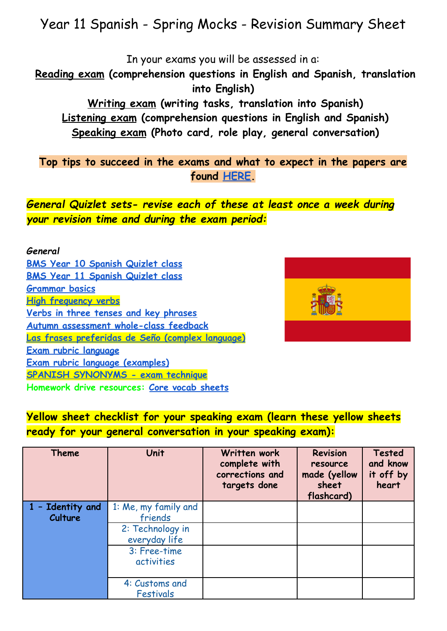# Year 11 Spanish - Spring Mocks - Revision Summary Sheet

In your exams you will be assessed in a:

**Reading exam (comprehension questions in English and Spanish, translation into English)**

**Writing exam (writing tasks, translation into Spanish) Listening exam (comprehension questions in English and Spanish) Speaking exam (Photo card, role play, general conversation)**

**Top tips to succeed in the exams and what to expect in the papers are found [HERE.](https://drive.google.com/drive/folders/1J_o4aKzQ7HUbCDjMvCTRX4wLMSbzZYlG)**

*General Quizlet sets- revise each of these at least once a week during your revision time and during the exam period:*

#### *General* **[BMS Year 10 Spanish Quizlet class](https://quizlet.com/class/12005162/) [BMS Year 11 Spanish Quizlet class](https://quizlet.com/class/12005185/) [Grammar basics](https://quizlet.com/gb/367340353/grammar-basics-flash-cards/) [High frequency verbs](https://quizlet.com/gb/409945185/gcse-spanish-high-frequency-verbs-flash-cards/) [Verbs in three tenses and key phrases](https://quizlet.com/gb/428372530/tenses-and-key-phrases-flash-cards/) [Autumn assessment whole-class feedback](https://quizlet.com/gb/455153538/year-10-spanish-autumn-assessment-basics-whole-class-feedback-flash-cards/) [Las frases preferidas de Seño \(complex language\)](https://quizlet.com/gb/264273115/las-frases-preferidas-de-seno-flash-cards/) [Exam rubric language](https://quizlet.com/gb/445217034/spanish-gcse-exam-rubric-language-tier-2-vocabulary-flash-cards/) [Exam rubric language \(examples\)](https://quizlet.com/gb/445224475/spanish-gcse-exam-rubric-language-examples-tier-2-vocabulary-flash-cards/) [SPANISH SYNONYMS - exam technique](https://quizlet.com/566550462/spanish-synonyms-flash-cards/) Homework drive resources: [Core vocab sheets](https://drive.google.com/drive/u/0/folders/1pJWcRFyV1DhQCJc6vXirymiplGKyZ-AT)**



#### **Yellow sheet checklist for your speaking exam (learn these yellow sheets ready for your general conversation in your speaking exam):**

| <b>Theme</b>                | Unit                                                                 | Written work<br>complete with<br>corrections and<br>targets done | <b>Revision</b><br>resource<br>made (yellow<br>sheet<br>flashcard) | <b>Tested</b><br>and know<br>it off by<br>heart |
|-----------------------------|----------------------------------------------------------------------|------------------------------------------------------------------|--------------------------------------------------------------------|-------------------------------------------------|
| 1 - Identity and<br>Culture | 1: Me, my family and<br>friends<br>2: Technology in<br>everyday life |                                                                  |                                                                    |                                                 |
|                             | 3: Free-time<br>activities                                           |                                                                  |                                                                    |                                                 |
|                             | 4: Customs and<br><b>Festivals</b>                                   |                                                                  |                                                                    |                                                 |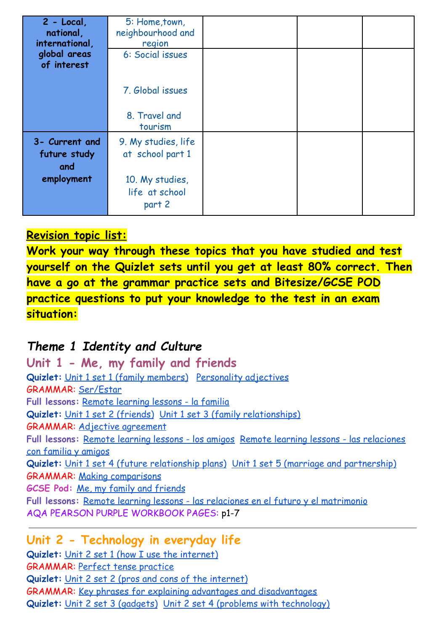| $2 - Local$<br>national,<br>international,<br>global areas<br>of interest | 5: Home, town,<br>neighbourhood and<br>region<br>6: Social issues                      |  |  |
|---------------------------------------------------------------------------|----------------------------------------------------------------------------------------|--|--|
|                                                                           | 7. Global issues<br>8. Travel and<br>tourism                                           |  |  |
| 3- Current and<br>future study<br>and<br>employment                       | 9. My studies, life<br>at school part 1<br>10. My studies,<br>life at school<br>part 2 |  |  |

#### **Revision topic list:**

**Work your way through these topics that you have studied and test yourself on the Quizlet sets until you get at least 80% correct. Then have a go at the grammar practice sets and Bitesize/GCSE POD practice questions to put your knowledge to the test in an exam situation:**

## *Theme 1 Identity and Culture*

**Unit 1 - Me, my family and friends Quizlet:** [Unit 1 set 1 \(family members\)](https://quizlet.com/gb/441923380/year-10-spanish-unit-1-set-1-family-members-flash-cards/) [Personality](https://quizlet.com/gb/505319660/la-personalidad-adjectives-to-describe-personality-flash-cards/) adjectives GRAMMAR: [Ser/Estar](https://quizlet.com/gb/504977336/ser-o-estar-to-be-or-to-be-flash-cards/) **Full lessons:** [Remote learning lessons - la familia](https://drive.google.com/drive/u/0/folders/1r-dUjwZ7K_7qMknyxZ3CfscPRVryert4) **Quizlet:** [Unit 1 set 2 \(friends\)](https://quizlet.com/gb/441996939/year-10-spanish-unit-1-set-2-friends-flash-cards/) [Unit 1 set 3 \(family](https://quizlet.com/gb/442014782/year-10-spanish-unit-1-set-3-family-relationships-flash-cards/) relationships) GRAMMAR: [Adjective agreement](https://quizlet.com/316474926/spanish-adjective-noun-agreement-flash-cards/) **Full lessons:** [Remote learning lessons - los amigos](https://drive.google.com/drive/u/0/folders/1mtgx2m_JFpCd1rnUvtntwOdkjEeDE3At) [Remote learning lessons - las relaciones](https://drive.google.com/drive/u/0/folders/17n72dIQ0glqgN_cuDErUkwbJP0OscI5y) [con familia y amigos](https://drive.google.com/drive/u/0/folders/17n72dIQ0glqgN_cuDErUkwbJP0OscI5y) **Quizlet:** [Unit 1 set 4 \(future relationship plans\)](https://quizlet.com/gb/442009571/year-10-spanish-unit-1-set-4-future-relationship-plans-flash-cards/) [Unit 1 set 5 \(marriage and partnership\)](https://quizlet.com/gb/512619740/year-10-spanish-unit-1-set-5-marriage-and-partnership-flash-cards/) GRAMMAR: [Making comparisons](https://quizlet.com/gb/512099407/making-comparisons-in-spanish-flash-cards/) **GCSE Pod:** [Me, my family and friends](https://members.gcsepod.com/shared/podcasts/title/13568/81429) **Full lessons:** [Remote learning lessons - las relaciones](https://drive.google.com/drive/u/0/folders/1yW2TEekTWxGCrqVOQwX_9xUHeSgYNbVO) en el futuro y el matrimonio AQA PEARSON PURPLE WORKBOOK PAGES: p1-7

#### **Unit 2 - Technology in everyday life**

**Quizlet:** [Unit 2 set 1 \(how I use the internet\)](https://quizlet.com/gb/428940645/year-10-spanish-unit-2-set-1-how-i-use-the-internet-flash-cards/) GRAMMAR: [Perfect tense practice](https://quizlet.com/gb/414841092/spanish-perfect-tense-i-have-flash-cards/) **Quizlet:** [Unit 2 set 2 \(pros and cons of the internet\)](https://quizlet.com/gb/430464184/year-10-spanish-unit-2-set-2-pros-and-cons-flash-cards/) GRAMMAR: [Key phrases for explaining advantages and](https://quizlet.com/gb/515047523/key-phrases-for-explaining-advantages-and-disadvantages-flash-cards/?new) disadvantages **Quizlet:** [Unit 2 set 3 \(gadgets\)](https://quizlet.com/gb/433812088/year-10-spanish-unit-2-set-3-gadgets-flash-cards/) [Unit 2 set 4 \(problems](https://quizlet.com/gb/437110438/year-10-spanish-unit-2-set-4-problems-with-technology-flash-cards/) with technology)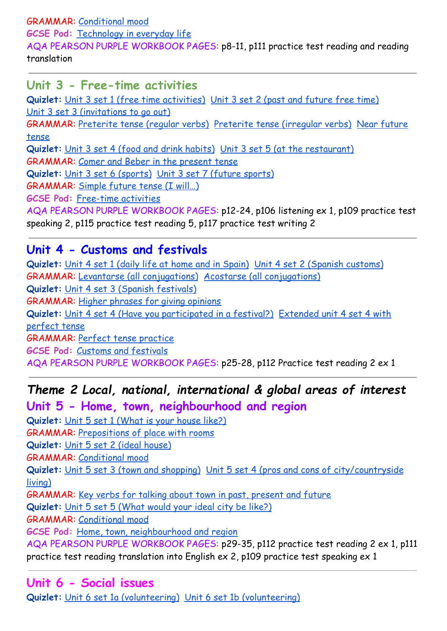GRAMMAR: [Conditional mood](https://quizlet.com/gb/490540208/higher-tense-conditional-mood-to-say-what-you-would-do-flash-cards/)

**GCSE Pod:** [Technology in everyday life](https://members.gcsepod.com/shared/podcasts/title/13569)

AQA PEARSON PURPLE WORKBOOK PAGES: p8-11, p111 practice test reading and reading translation

#### **Unit 3 - Free-time activities**

**Quizlet:** [Unit 3 set 1 \(free time activities\)](https://quizlet.com/gb/453218287/year-10-spanish-unit-3-set-1-free-time-activities-flash-cards/) Unit [3 set 2 \(past and future free time\)](https://quizlet.com/gb/453222536/year-10-spanish-unit-3-set-2-past-and-future-free-time-activities-flash-cards/) [Unit 3 set 3 \(invitations to go out\)](https://quizlet.com/gb/453228098/year-10-spanish-unit-3-set-3-invitations-to-go-out-flash-cards/) GRAMMAR: [Preterite tense \(regular verbs\)](https://quizlet.com/gb/243121754/spanish-preterite-tense-regular-verbs-flash-cards/) Preterite [tense \(irregular verbs\)](https://quizlet.com/243121558/spanish-preterite-tense-irregular-verbs-flash-cards/) [Near future](https://quizlet.com/gb/515047211/foundationhigher-tense-near-future-for-what-you-are-going-to-do-flash-cards/?new) [tense](https://quizlet.com/gb/515047211/foundationhigher-tense-near-future-for-what-you-are-going-to-do-flash-cards/?new) **Quizlet:** [Unit 3 set 4 \(food and drink habits\)](https://quizlet.com/gb/466704894/year-10-spanish-unit-3-set-4-food-and-drink-habits-flash-cards/) Unit [3 set 5 \(at the restaurant\)](https://quizlet.com/gb/466711818/year-10-spanish-unit-3-set-5-at-the-restaurant-flash-cards/) GRAMMAR: [Comer and Beber in the present tense](https://quizlet.com/375188005/beber-comer-flash-cards/) **Quizlet:** [Unit 3 set 6 \(sports\)](https://quizlet.com/gb/476439856/year-10-spanish-unit-3-set-6-sports-flash-cards/) [Unit 3 set 7 \(future](https://quizlet.com/gb/476440896/year-10-spanish-unit-3-set-7-future-sports-flash-cards/) sports) GRAMMAR: [Simple future tense \(I will…\)](https://quizlet.com/gb/515046393/higher-tense-simple-future-for-saying-what-you-will-do-flash-cards/?new) **GCSE Pod:** [Free-time activities](https://members.gcsepod.com/shared/podcasts/title/13570) AQA PEARSON PURPLE WORKBOOK PAGES: p12-24, p106 listening ex 1, p109 practice test speaking 2, p115 practice test reading 5, p117 practice test writing 2

#### **Unit 4 - Customs and festivals**

Quizlet: [Unit 4 set 1 \(daily life at home and in Spain\)](https://quizlet.com/gb/480916275/year-10-spanish-unit-4-set-1-daily-life-at-home-and-in-spain-flash-cards/) [Unit 4 set 2 \(Spanish customs\)](https://quizlet.com/gb/476445862/year-10-spanish-unit-4-set-2-spanish-customs-flash-cards/) GRAMMAR: [Levantarse \(all conjugations\)](https://quizlet.com/282354599/levantarse-flash-cards/) Acostarse [\(all conjugations\)](https://quizlet.com/333442634/acostarse-flash-cards/) **Quizlet:** [Unit 4 set 3 \(Spanish festivals\)](https://quizlet.com/gb/476442114/year-10-spanish-unit-4-set-3-spanish-festivals-flash-cards/) GRAMMAR: [Higher phrases for giving opinions](https://quizlet.com/gb/506647763/higher-phrases-for-introducing-your-opinion-flash-cards/) **Quizlet:** [Unit 4 set 4 \(Have you participated in a](https://quizlet.com/gb/492137333/year-10-spanish-unit-4-set-4-have-you-participated-in-a-festival-flash-cards/) festival?) [Extended unit 4 set 4 with](https://quizlet.com/gb/383581116/has-participado-ya-en-una-fiesta-flash-cards/) [perfect tense](https://quizlet.com/gb/383581116/has-participado-ya-en-una-fiesta-flash-cards/) GRAMMAR: [Perfect tense practice](https://quizlet.com/gb/414841092/spanish-perfect-tense-i-have-flash-cards/) **GCSE Pod:** [Customs and festivals](https://members.gcsepod.com/shared/podcasts/title/13571) AQA PEARSON PURPLE WORKBOOK PAGES: p25-28, p112 Practice test reading 2 ex 1

#### *Theme 2 Local, national, international & global areas of interest* **Unit 5 - Home, town, neighbourhood and region**

**Quizlet:** [Unit 5 set 1 \(What is your house like?\)](https://quizlet.com/gb/497208595/year-10-spanish-unit-5-set-1-what-is-your-house-like-flash-cards/) GRAMMAR: [Prepositions of place with rooms](https://quizlet.com/gb/510520367/year-10-spanish-prepositions-of-place-with-rooms-flash-cards/) **Quizlet:** [Unit 5 set 2 \(ideal house\)](https://quizlet.com/gb/497225642/year-10-spanish-unit-5-set-2-ideal-house-flash-cards/) GRAMMAR: [Conditional mood](https://quizlet.com/gb/490540208/higher-tense-conditional-mood-to-say-what-you-would-do-flash-cards/) **Quizlet:** [Unit 5 set 3 \(town and shopping\)](https://quizlet.com/gb/497366142/year-10-spanish-unit-5-set-3-town-and-shopping-flash-cards/) Unit 5 [set 4 \(pros and cons of city/countryside](https://quizlet.com/gb/497387767/year-10-spanish-unit-5-set-4-pros-and-cons-of-living-in-the-city-and-countryside-flash-cards/) [living\)](https://quizlet.com/gb/497387767/year-10-spanish-unit-5-set-4-pros-and-cons-of-living-in-the-city-and-countryside-flash-cards/) GRAMMAR: [Key verbs for talking about town in past,](https://quizlet.com/gb/504976193/key-verbs-for-talking-about-town-past-present-and-future-flash-cards/) present and future **Quizlet:** [Unit 5 set 5 \(What would your ideal city](https://quizlet.com/gb/497390575/year-10-spanish-unit-5-set-5-what-would-your-ideal-city-be-like-flash-cards/) be like?) GRAMMAR: [Conditional mood](https://quizlet.com/gb/490540208/higher-tense-conditional-mood-to-say-what-you-would-do-flash-cards/) **GCSE Pod:** [Home, town, neighbourhood and region](https://members.gcsepod.com/shared/podcasts/title/13572) AQA PEARSON PURPLE WORKBOOK PAGES: p29-35, p112 practice test reading 2 ex 1, p111 practice test reading translation into English ex 2, p109 practice test speaking ex 1

#### **Unit 6 - Social issues**

**Quizlet:** [Unit 6 set 1a \(volunteering\)](https://quizlet.com/gb/498884236/year-10-spanish-unit-6-set-1a-volunteering-flash-cards/) Unit 6 set [1b \(volunteering\)](https://quizlet.com/gb/512561197/year-10-spanish-unit-6-set-1b-volunteering-flash-cards/)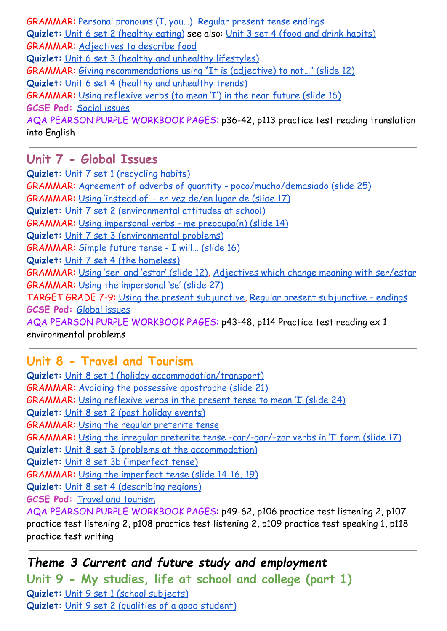GRAMMAR: [Personal pronouns \(I, you…\)](https://quizlet.com/gb/254135300/spanish-personal-pronouns-yo-tu-el-ella-flash-cards/) [Regular present tense endings](https://quizlet.com/gb/243340454/spanish-regular-present-tense-flash-cards/) Quizlet: [Unit 6 set 2 \(healthy eating\)](https://quizlet.com/gb/498887082/year-10-spanish-unit-6-set-2-healthy-eating-flash-cards/) see also: Unit [3 set 4 \(food and drink habits\)](https://quizlet.com/gb/466704894/year-10-spanish-unit-3-set-4-food-and-drink-habits-flash-cards/) GRAMMAR: [Adjectives to describe food](https://quizlet.com/gb/342916961/spanish-food-description-adjectives-flash-cards/) **Quizlet:** [Unit 6 set 3 \(healthy and unhealthy lifestyles\)](https://quizlet.com/gb/498889468/year-10-spanish-unit-6-set-3-healthy-and-unhealthy-lifestyles-flash-cards/) GRAMMAR: [Giving recommendations using "It is \(adjective\)](https://docs.google.com/presentation/d/1QcRZp7BqNKQQY5ArE2r55mcdo8JwetAM_zrnvM9XPik/edit#slide=id.g9420321c73_0_130) to not…" (slide 12) **Quizlet:** [Unit 6 set 4 \(healthy and unhealthy trends\)](https://quizlet.com/gb/525587911/year-10-spanish-unit-6-set-4-healthy-and-unhealthy-trends-flash-cards/) GRAMMAR: [Using reflexive verbs \(to mean 'I'\) in the](https://docs.google.com/presentation/d/17nyxj5BpytFGi6C5euLOEec1tDbDhk9uCQiKhHvuZtQ/edit#slide=id.g9b3b44a840_0_0) near future (slide 16) **GCSE Pod:** [Social issues](https://members.gcsepod.com/shared/podcasts/title/13573) AQA PEARSON PURPLE WORKBOOK PAGES: p36-42, p113 practice test reading translation into English

#### **Unit 7 - Global Issues**

**Quizlet:** [Unit 7 set 1 \(recycling habits\)](https://quizlet.com/gb/428941631/year-11-spanish-unit-7-set-1-recycling-habits-flash-cards/) GRAMMAR: [Agreement of adverbs of quantity - poco/mucho/demasiado](https://docs.google.com/presentation/d/1NGs6XilujnGNChdQ4IWQeV1ntb1jZZaZFYH0WrPYKLQ/edit#slide=id.g9db2c0995d_0_130) (slide 25) GRAMMAR: [Using 'instead of' - en vez de/en lugar de](https://docs.google.com/presentation/d/1ryj0QIte-1zy3cDhNAeVBUPbX49gMkGWctz9wQLnU3w/edit#slide=id.g9df524aa5a_0_90) (slide 17) **Quizlet:** [Unit 7 set 2 \(environmental attitudes at](https://quizlet.com/gb/432352226/year-11-spanish-unit-7-set-2-environmental-attitudes-at-school-flash-cards/) school) GRAMMAR: [Using impersonal verbs - me preocupa\(n\) \(slide](https://docs.google.com/presentation/d/1fuYtTb9LyoDQuJOOIVNv9dZKiqYPzuE-fnfnw0qcCAo/edit#slide=id.g9e7f880975_0_56) 14) **Quizlet:** [Unit 7 set 3 \(environmental problems\)](https://quizlet.com/gb/432354401/year-11-spanish-unit-7-set-3-environmental-problems-flash-cards/) GRAMMAR: [Simple future tense - I will… \(slide 16\)](https://docs.google.com/presentation/d/1i8jUCZImjUHOErdMN5J9I4yMm6bYPFPDm40lyxIeNCY/edit#slide=id.g6303fccf75_0_74) **Quizlet:** [Unit 7 set 4 \(the homeless\)](https://quizlet.com/gb/441094795/year-11-spanish-unit-7-set-4-the-homeless-flash-cards/) GRAMMAR: [Using 'ser' and 'estar' \(slide 12\)](https://docs.google.com/presentation/d/1cu3t5IxA2EUdu-MsTdv1H5sKXtK4wlsSH2Z-YhnqvDc/edit#slide=id.gacbf20e25f_0_133), Adjectives [which change meaning with ser/estar](https://quizlet.com/gb/550045951/ser-o-estar-adjectives-which-change-meaning-with-the-two-verbs-to-be-flash-cards/) GRAMMAR: [Using the impersonal 'se' \(slide 27\)](https://docs.google.com/presentation/d/1cu3t5IxA2EUdu-MsTdv1H5sKXtK4wlsSH2Z-YhnqvDc/edit#slide=id.g43c40f6e21_0_103) TARGET GRADE 7-9: [Using the present subjunctive](https://quizlet.com/gb/550060535/higher-tense-subjunctive-mood-wishes-emotions-impersonal-expressions-recommendations-doubtdenial-and-ojala-weirdo-flash-cards/?new), Regular [present subjunctive - endings](https://quizlet.com/gb/555076660/higher-tense-regular-present-subjunctive-mood-all-endings-flash-cards/) **GCSE Pod:** [Global issues](https://members.gcsepod.com/shared/podcasts/title/13574/81445) AQA PEARSON PURPLE WORKBOOK PAGES: p43-48, p114 Practice test reading ex 1 environmental problems

#### **Unit 8 - Travel and Tourism**

**Quizlet:** [Unit 8 set 1 \(holiday accommodation/transport\)](https://quizlet.com/gb/428943015/year-11-spanish-unit-8-set-1-holiday-accommodationtransport-flash-cards/) GRAMMAR: [Avoiding the possessive apostrophe \(slide](https://docs.google.com/presentation/d/1iEO0qKRRylkbccnBxAbP9SncrmkXcrDcC9i_VAxsVxI/edit#slide=id.g64243bcfec_0_0) 21) GRAMMAR: [Using reflexive verbs in the present tense](https://docs.google.com/presentation/d/18Kcst2JWuaalvtqAZMHopDp7_pgqaoJEIvt66VlHr4o/edit#slide=id.gb2ffba34fc_0_578) to mean 'I' (slide 24) **Quizlet:** [Unit 8 set 2 \(past holiday events\)](https://quizlet.com/gb/428947936/year-11-spanish-unit-8-set-2-past-holiday-events-flash-cards/) GRAMMAR: [Using the regular preterite tense](https://docs.google.com/presentation/d/1BW-iryz2qEaIyvWOIRnyuvjyo6qbNakoOirdKAzwYnY/edit#slide=id.g6b209533ff_0_26) GRAMMAR: [Using the irregular preterite tense -car/-gar/-zar](https://docs.google.com/presentation/d/1BW-iryz2qEaIyvWOIRnyuvjyo6qbNakoOirdKAzwYnY/edit#slide=id.gadfdcdc0cc_0_402) verbs in 'I' form (slide 17) **Quizlet:** [Unit 8 set 3 \(problems at the accommodation\)](https://quizlet.com/gb/442096233/year-11-spanish-unit-8-set-3-problems-at-the-accommodation-flash-cards/) **Quizlet:** [Unit 8 set 3b \(imperfect tense\)](https://quizlet.com/gb/564760411/year-11-spanish-unit-8-set-3b-imperfect-tense-flash-cards/) GRAMMAR: [Using the imperfect tense \(slide 14-16, 19\)](https://docs.google.com/presentation/d/13R9bcCckus7LpWKHir-JfOyNf6yqQkuqDwFB1gnaNZc/edit#slide=id.g79866b2a1a_1_160) **Quizlet:** [Unit 8 set 4 \(describing regions\)](https://quizlet.com/gb/442105078/year-11-spanish-unit-8-set-4-describing-regions-flash-cards/) **GCSE Pod:** [Travel and tourism](https://members.gcsepod.com/shared/podcasts/title/13575/81450) AQA PEARSON PURPLE WORKBOOK PAGES: p49-62, p106 practice test listening 2, p107 practice test listening 2, p108 practice test listening 2, p109 practice test speaking 1, p118 practice test writing

*Theme 3 Current and future study and employment* **Unit 9 - My studies, life at school and college (part 1) Quizlet:** [Unit 9 set 1 \(school subjects\)](https://quizlet.com/gb/470796274/year-11-spanish-unit-9-set-1-school-subjects-flash-cards/) **Quizlet:** [Unit 9 set 2 \(qualities of a good student\)](https://quizlet.com/gb/471173732/year-11-spanish-unit-9-set-2-qualities-of-a-good-student-flash-cards/)